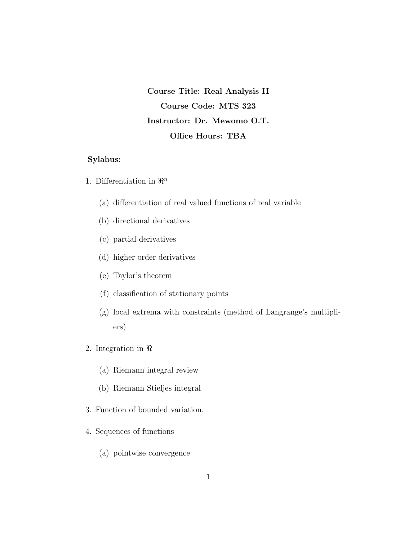Course Title: Real Analysis II Course Code: MTS 323 Instructor: Dr. Mewomo O.T. Office Hours: TBA

### Sylabus:

- 1. Differentiation in  $\mathbb{R}^n$ 
	- (a) differentiation of real valued functions of real variable
	- (b) directional derivatives
	- (c) partial derivatives
	- (d) higher order derivatives
	- (e) Taylor's theorem
	- (f) classification of stationary points
	- (g) local extrema with constraints (method of Langrange's multipliers)
- 2. Integration in  $\Re$ 
	- (a) Riemann integral review
	- (b) Riemann Stieljes integral
- 3. Function of bounded variation.
- 4. Sequences of functions
	- (a) pointwise convergence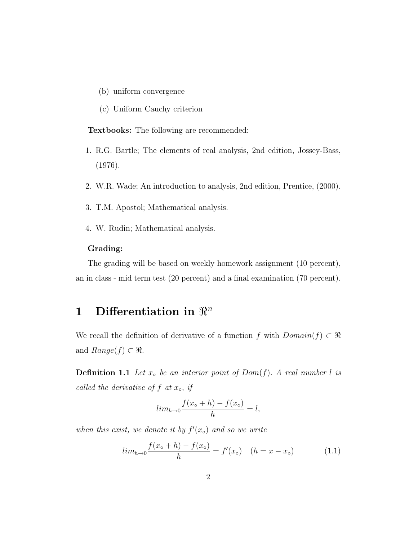- (b) uniform convergence
- (c) Uniform Cauchy criterion

Textbooks: The following are recommended:

- 1. R.G. Bartle; The elements of real analysis, 2nd edition, Jossey-Bass, (1976).
- 2. W.R. Wade; An introduction to analysis, 2nd edition, Prentice, (2000).
- 3. T.M. Apostol; Mathematical analysis.
- 4. W. Rudin; Mathematical analysis.

### Grading:

The grading will be based on weekly homework assignment (10 percent), an in class - mid term test (20 percent) and a final examination (70 percent).

## 1 Differentiation in  $\mathbb{R}^n$

We recall the definition of derivative of a function f with  $Domain(f) \subset \Re$ and  $Range(f) \subset \Re$ .

**Definition 1.1** Let  $x<sub>o</sub>$  be an interior point of Dom(f). A real number l is called the derivative of  $f$  at  $x<sub>∘</sub>$ , if

$$
lim_{h \to 0} \frac{f(x_\circ + h) - f(x_\circ)}{h} = l,
$$

when this exist, we denote it by  $f'(x<sub>o</sub>)$  and so we write

$$
lim_{h \to 0} \frac{f(x_o + h) - f(x_o)}{h} = f'(x_o) \quad (h = x - x_o)
$$
 (1.1)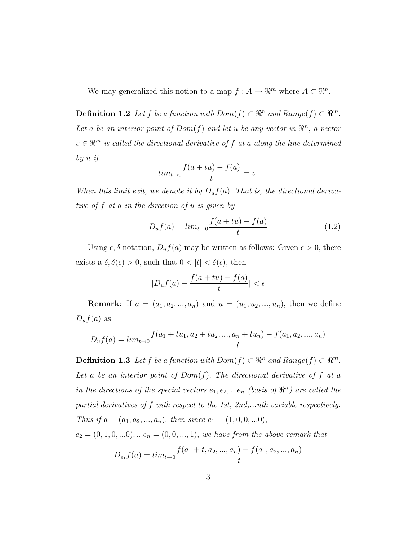We may generalized this notion to a map  $f : A \to \mathbb{R}^m$  where  $A \subset \mathbb{R}^n$ .

**Definition 1.2** Let f be a function with  $Dom(f) \subset \mathbb{R}^n$  and  $Range(f) \subset \mathbb{R}^m$ . Let a be an interior point of  $Dom(f)$  and let u be any vector in  $\mathbb{R}^n$ , a vector  $v \in \mathbb{R}^m$  is called the directional derivative of f at a along the line determined by u if

$$
lim_{t \to 0} \frac{f(a+tu) - f(a)}{t} = v.
$$

When this limit exit, we denote it by  $D_u f(a)$ . That is, the directional derivative of f at a in the direction of u is given by

$$
D_u f(a) = \lim_{t \to 0} \frac{f(a + tu) - f(a)}{t}
$$
 (1.2)

Using  $\epsilon$ ,  $\delta$  notation,  $D_u f(a)$  may be written as follows: Given  $\epsilon > 0$ , there exists a  $\delta, \delta(\epsilon) > 0$ , such that  $0 < |t| < \delta(\epsilon)$ , then

$$
|D_u f(a) - \frac{f(a+tu) - f(a)}{t}| < \epsilon
$$

**Remark**: If  $a = (a_1, a_2, ..., a_n)$  and  $u = (u_1, u_2, ..., u_n)$ , then we define  $D_u f(a)$  as

$$
D_u f(a) = \lim_{t \to 0} \frac{f(a_1 + tu_1, a_2 + tu_2, ..., a_n + tu_n) - f(a_1, a_2, ..., a_n)}{t}
$$

**Definition 1.3** Let f be a function with  $Dom(f) \subset \mathbb{R}^n$  and  $Range(f) \subset \mathbb{R}^m$ . Let a be an interior point of  $Dom(f)$ . The directional derivative of f at a in the directions of the special vectors  $e_1, e_2, ...e_n$  (basis of  $\mathbb{R}^n$ ) are called the partial derivatives of f with respect to the 1st, 2nd,...nth variable respectively. Thus if  $a = (a_1, a_2, ..., a_n)$ , then since  $e_1 = (1, 0, 0, ...0)$ ,

 $e_2 = (0, 1, 0, \ldots 0), \ldots e_n = (0, 0, \ldots, 1),$  we have from the above remark that

$$
D_{e_1}f(a) = lim_{t \to 0} \frac{f(a_1 + t, a_2, ..., a_n) - f(a_1, a_2, ..., a_n)}{t}
$$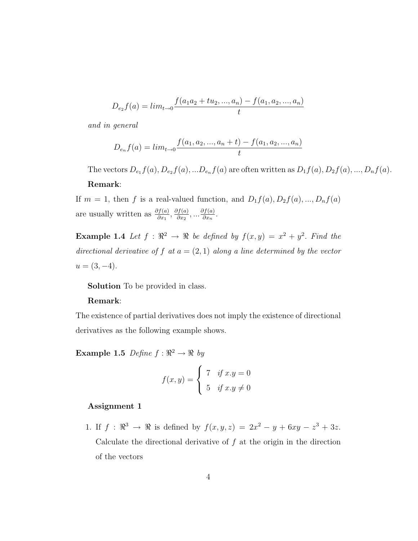$$
D_{e_2}f(a) = lim_{t \to 0} \frac{f(a_1a_2 + tu_2, ..., a_n) - f(a_1, a_2, ..., a_n)}{t}
$$

and in general

$$
D_{e_n}f(a) = lim_{t \to 0} \frac{f(a_1, a_2, ..., a_n + t) - f(a_1, a_2, ..., a_n)}{t}
$$

The vectors  $D_{e_1}f(a), D_{e_2}f(a),...D_{e_n}f(a)$  are often written as  $D_1f(a), D_2f(a),..., D_nf(a)$ . Remark:

If  $m = 1$ , then f is a real-valued function, and  $D_1f(a), D_2f(a), ..., D_nf(a)$ are usually written as  $\frac{\partial f(a)}{\partial x_1}$ ,  $\frac{\partial f(a)}{\partial x_2}$  $\frac{\partial f(a)}{\partial x_2}, \ldots \frac{\partial f(a)}{\partial x_n}$  $\frac{\partial f(a)}{\partial x_n}$ .

**Example 1.4** Let  $f : \mathbb{R}^2 \to \mathbb{R}$  be defined by  $f(x, y) = x^2 + y^2$ . Find the directional derivative of f at  $a = (2, 1)$  along a line determined by the vector  $u = (3, -4).$ 

Solution To be provided in class.

### Remark:

The existence of partial derivatives does not imply the existence of directional derivatives as the following example shows.

**Example 1.5** Define  $f : \Re^2 \to \Re$  by

$$
f(x,y) = \begin{cases} 7 & \text{if } x.y = 0 \\ 5 & \text{if } x.y \neq 0 \end{cases}
$$

### Assignment 1

1. If  $f : \mathbb{R}^3 \to \mathbb{R}$  is defined by  $f(x, y, z) = 2x^2 - y + 6xy - z^3 + 3z$ . Calculate the directional derivative of  $f$  at the origin in the direction of the vectors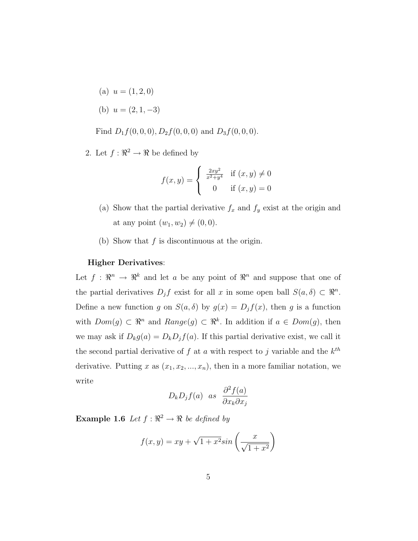- (a)  $u = (1, 2, 0)$
- (b)  $u = (2, 1, -3)$

Find  $D_1 f(0, 0, 0), D_2 f(0, 0, 0)$  and  $D_3 f(0, 0, 0)$ .

2. Let  $f: \mathbb{R}^2 \to \mathbb{R}$  be defined by

$$
f(x,y) = \begin{cases} \frac{2xy^2}{x^2 + y^4} & \text{if } (x,y) \neq 0\\ 0 & \text{if } (x,y) = 0 \end{cases}
$$

- (a) Show that the partial derivative  $f_x$  and  $f_y$  exist at the origin and at any point  $(w_1, w_2) \neq (0, 0)$ .
- (b) Show that  $f$  is discontinuous at the origin.

### Higher Derivatives:

Let  $f: \mathbb{R}^n \to \mathbb{R}^k$  and let a be any point of  $\mathbb{R}^n$  and suppose that one of the partial derivatives  $D_j f$  exist for all x in some open ball  $S(a, \delta) \subset \mathbb{R}^n$ . Define a new function g on  $S(a, \delta)$  by  $g(x) = D_j f(x)$ , then g is a function with  $Dom(g) \subset \mathbb{R}^n$  and  $Range(g) \subset \mathbb{R}^k$ . In addition if  $a \in Dom(g)$ , then we may ask if  $D_k g(a) = D_k D_j f(a)$ . If this partial derivative exist, we call it the second partial derivative of f at a with respect to j variable and the  $k^{th}$ derivative. Putting x as  $(x_1, x_2, ..., x_n)$ , then in a more familiar notation, we write

$$
D_k D_j f(a)
$$
 as  $\frac{\partial^2 f(a)}{\partial x_k \partial x_j}$ 

**Example 1.6** Let  $f : \mathbb{R}^2 \to \mathbb{R}$  be defined by

$$
f(x,y) = xy + \sqrt{1 + x^2} \sin\left(\frac{x}{\sqrt{1 + x^2}}\right)
$$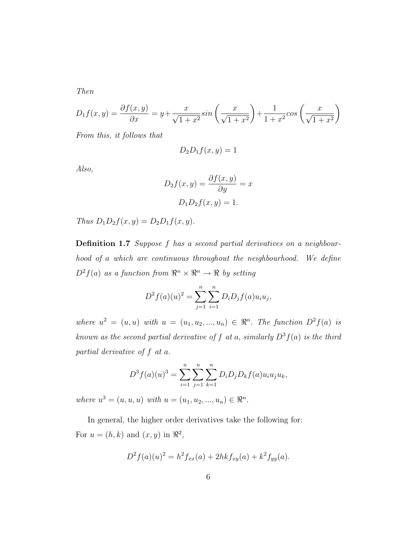Then

$$
D_1 f(x,y) = \frac{\partial f(x,y)}{\partial x} = y + \frac{x}{\sqrt{1+x^2}} \sin\left(\frac{x}{\sqrt{1+x^2}}\right) + \frac{1}{1+x^2} \cos\left(\frac{x}{\sqrt{1+x^2}}\right)
$$

From this, it follows that

$$
D_2 D_1 f(x, y) = 1
$$

Also,

$$
D_2 f(x, y) = \frac{\partial f(x, y)}{\partial y} = x
$$

$$
D_1 D_2 f(x, y) = 1.
$$

Thus  $D_1D_2f(x, y) = D_2D_1f(x, y)$ .

Definition 1.7 Suppose f has a second partial derivatives on a neighbourhood of a which are continuous throughout the neighbourhood. We define  $D^2 f(a)$  as a function from  $\mathbb{R}^n \times \mathbb{R}^n \to \mathbb{R}$  by setting

$$
D^{2} f(a)(u)^{2} = \sum_{j=1}^{n} \sum_{i=1}^{n} D_{i} D_{j} f(a) u_{i} u_{j},
$$

where  $u^2 = (u, u)$  with  $u = (u_1, u_2, ..., u_n) \in \mathbb{R}^n$ . The function  $D^2 f(a)$  is known as the second partial derivative of f at a, similarly  $D^3 f(a)$  is the third partial derivative of f at a.

$$
D^{3} f(a)(u)^{3} = \sum_{i=1}^{n} \sum_{j=1}^{n} \sum_{k=1}^{n} D_{i} D_{j} D_{k} f(a) u_{i} u_{j} u_{k},
$$

where  $u^3 = (u, u, u)$  with  $u = (u_1, u_2, ..., u_n) \in \Re^n$ .

In general, the higher order derivatives take the following for: For  $u = (h, k)$  and  $(x, y)$  in  $\Re^2$ ,

$$
D^{2} f(a)(u)^{2} = h^{2} f_{xx}(a) + 2h k f_{xy}(a) + k^{2} f_{yy}(a).
$$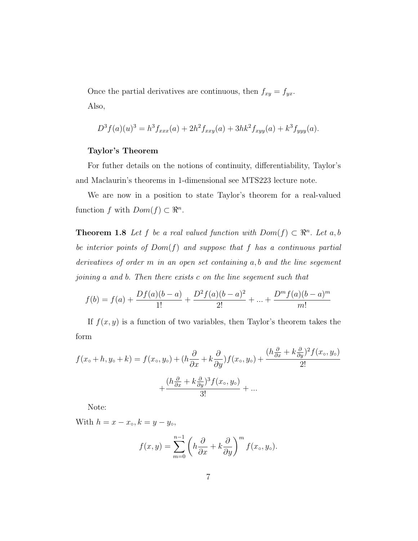Once the partial derivatives are continuous, then  $f_{xy} = f_{yx}$ . Also,

$$
D^{3} f(a)(u)^{3} = h^{3} f_{xxx}(a) + 2h^{2} f_{xxy}(a) + 3hk^{2} f_{xyy}(a) + k^{3} f_{yyy}(a).
$$

### Taylor's Theorem

For futher details on the notions of continuity, differentiability, Taylor's and Maclaurin's theorems in 1-dimensional see MTS223 lecture note.

We are now in a position to state Taylor's theorem for a real-valued function f with  $Dom(f) \subset \mathbb{R}^n$ .

**Theorem 1.8** Let f be a real valued function with  $Dom(f) \subset \mathbb{R}^n$ . Let a, b be interior points of  $Dom(f)$  and suppose that f has a continuous partial derivatives of order m in an open set containing a, b and the line segement joining a and b. Then there exists c on the line segement such that

$$
f(b) = f(a) + \frac{Df(a)(b-a)}{1!} + \frac{D^2f(a)(b-a)^2}{2!} + \dots + \frac{D^mf(a)(b-a)^m}{m!}
$$

If  $f(x, y)$  is a function of two variables, then Taylor's theorem takes the form

$$
f(x_o + h, y_o + k) = f(x_o, y_o) + (h\frac{\partial}{\partial x} + k\frac{\partial}{\partial y})f(x_o, y_o) + \frac{(h\frac{\partial}{\partial x} + k\frac{\partial}{\partial y})^2 f(x_o, y_o)}{2!} + \frac{(h\frac{\partial}{\partial x} + k\frac{\partial}{\partial y})^3 f(x_o, y_o)}{3!} + \dots
$$

Note:

With  $h = x - x_{\circ}, k = y - y_{\circ},$ 

$$
f(x,y) = \sum_{m=0}^{n-1} \left( h \frac{\partial}{\partial x} + k \frac{\partial}{\partial y} \right)^m f(x_0, y_0).
$$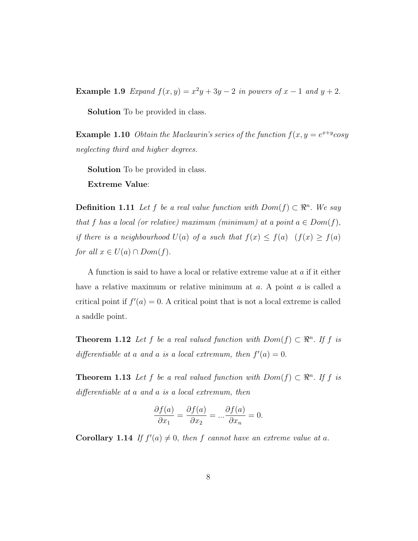Example 1.9 Expand  $f(x, y) = x^2y + 3y - 2$  in powers of  $x - 1$  and  $y + 2$ .

Solution To be provided in class.

**Example 1.10** Obtain the Maclaurin's series of the function  $f(x, y = e^{x+y} \cos y)$ neglecting third and higher degrees.

Solution To be provided in class.

Extreme Value:

**Definition 1.11** Let f be a real value function with  $Dom(f) \subset \mathbb{R}^n$ . We say that f has a local (or relative) maximum (minimum) at a point  $a \in Dom(f)$ , if there is a neighbourhood  $U(a)$  of a such that  $f(x) \leq f(a)$   $(f(x) \geq f(a))$ for all  $x \in U(a) \cap Dom(f)$ .

A function is said to have a local or relative extreme value at a if it either have a relative maximum or relative minimum at  $a$ . A point  $a$  is called a critical point if  $f'(a) = 0$ . A critical point that is not a local extreme is called a saddle point.

**Theorem 1.12** Let f be a real valued function with  $Dom(f) \subset \mathbb{R}^n$ . If f is differentiable at a and a is a local extremum, then  $f'(a) = 0$ .

**Theorem 1.13** Let f be a real valued function with  $Dom(f) \subset \mathbb{R}^n$ . If f is differentiable at a and a is a local extremum, then

$$
\frac{\partial f(a)}{\partial x_1} = \frac{\partial f(a)}{\partial x_2} = \dots \frac{\partial f(a)}{\partial x_n} = 0.
$$

**Corollary 1.14** If  $f'(a) \neq 0$ , then f cannot have an extreme value at a.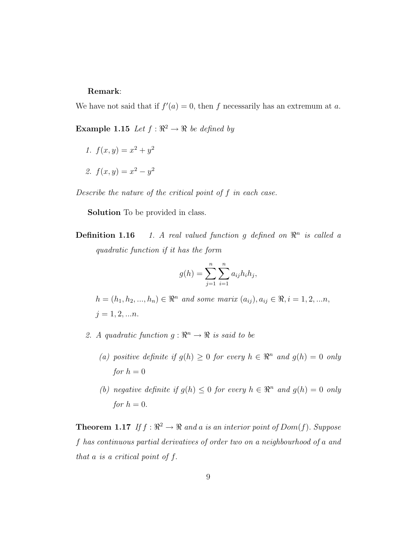### Remark:

We have not said that if  $f'(a) = 0$ , then f necessarily has an extremum at a.

**Example 1.15** Let  $f : \mathbb{R}^2 \to \mathbb{R}$  be defined by

- 1.  $f(x,y) = x^2 + y^2$
- 2.  $f(x,y) = x^2 y^2$

Describe the nature of the critical point of f in each case.

Solution To be provided in class.

**Definition 1.16** 1. A real valued function g defined on  $\mathbb{R}^n$  is called a quadratic function if it has the form

$$
g(h) = \sum_{j=1}^{n} \sum_{i=1}^{n} a_{ij} h_i h_j,
$$

 $h = (h_1, h_2, ..., h_n) \in \Re^n$  and some marix  $(a_{ij}), a_{ij} \in \Re, i = 1, 2, ..., n$ ,  $j = 1, 2, ...n$ .

- 2. A quadratic function  $g: \mathbb{R}^n \to \mathbb{R}$  is said to be
	- (a) positive definite if  $g(h) \geq 0$  for every  $h \in \mathbb{R}^n$  and  $g(h) = 0$  only for  $h = 0$
	- (b) negative definite if  $g(h) \leq 0$  for every  $h \in \mathbb{R}^n$  and  $g(h) = 0$  only for  $h = 0$ .

**Theorem 1.17** If  $f : \mathbb{R}^2 \to \mathbb{R}$  and a is an interior point of  $Dom(f)$ . Suppose f has continuous partial derivatives of order two on a neighbourhood of a and that a is a critical point of f.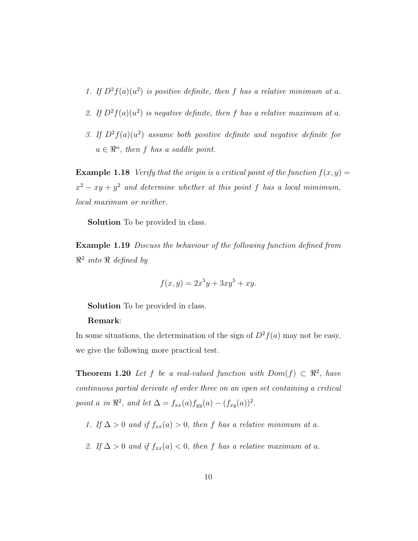- 1. If  $D^2 f(a)(u^2)$  is positive definite, then f has a relative minimum at a.
- 2. If  $D^2 f(a)(u^2)$  is negative definite, then f has a relative maximum at a.
- 3. If  $D^2 f(a)(u^2)$  assume both positive definite and negative definite for  $u \in \mathbb{R}^n$ , then f has a saddle point.

**Example 1.18** Verify that the origin is a critical point of the function  $f(x, y) =$  $x^2 - xy + y^2$  and determine whether at this point f has a local mimimum, local maximum or neither.

Solution To be provided in class.

Example 1.19 Discuss the behaviour of the following function defined from  $\mathbb{R}^2$  into  $\mathbb R$  defined by

$$
f(x,y) = 2x^5y + 3xy^5 + xy.
$$

Solution To be provided in class.

### Remark:

In some situations, the determination of the sign of  $D^2 f(a)$  may not be easy, we give the following more practical test.

**Theorem 1.20** Let f be a real-valued function with  $Dom(f) \subset \mathbb{R}^2$ , have continuous partial derivate of order three on an open set containing a critical point a in  $\mathbb{R}^2$ , and let  $\Delta = f_{xx}(a) f_{yy}(a) - (f_{xy}(a))^2$ .

- 1. If  $\Delta > 0$  and if  $f_{xx}(a) > 0$ , then f has a relative minimum at a.
- 2. If  $\Delta > 0$  and if  $f_{xx}(a) < 0$ , then f has a relative maximum at a.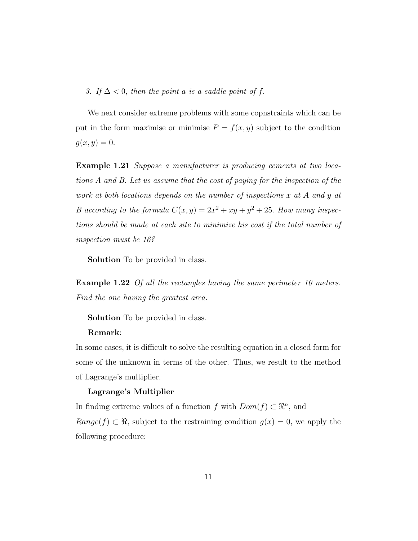3. If  $\Delta$  < 0, then the point a is a saddle point of f.

We next consider extreme problems with some copnstraints which can be put in the form maximise or minimise  $P = f(x, y)$  subject to the condition  $g(x, y) = 0.$ 

Example 1.21 Suppose a manufacturer is producing cements at two locations A and B. Let us assume that the cost of paying for the inspection of the work at both locations depends on the number of inspections x at A and y at B according to the formula  $C(x, y) = 2x^2 + xy + y^2 + 25$ . How many inspections should be made at each site to minimize his cost if the total number of inspection must be 16?

Solution To be provided in class.

Example 1.22 Of all the rectangles having the same perimeter 10 meters. Find the one having the greatest area.

Solution To be provided in class.

#### Remark:

In some cases, it is difficult to solve the resulting equation in a closed form for some of the unknown in terms of the other. Thus, we result to the method of Lagrange's multiplier.

### Lagrange's Multiplier

In finding extreme values of a function f with  $Dom(f) \subset \mathbb{R}^n$ , and  $Range(f) \subset \Re$ , subject to the restraining condition  $g(x) = 0$ , we apply the following procedure: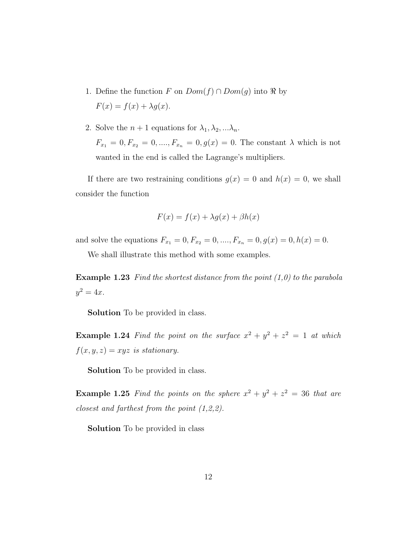- 1. Define the function F on  $Dom(f) \cap Dom(g)$  into R by  $F(x) = f(x) + \lambda g(x).$
- 2. Solve the  $n + 1$  equations for  $\lambda_1, \lambda_2, \ldots, \lambda_n$ .  $F_{x_1} = 0, F_{x_2} = 0, \ldots, F_{x_n} = 0, g(x) = 0.$  The constant  $\lambda$  which is not wanted in the end is called the Lagrange's multipliers.

If there are two restraining conditions  $g(x) = 0$  and  $h(x) = 0$ , we shall consider the function

$$
F(x) = f(x) + \lambda g(x) + \beta h(x)
$$

and solve the equations  $F_{x_1} = 0, F_{x_2} = 0, \ldots, F_{x_n} = 0, g(x) = 0, h(x) = 0.$ 

We shall illustrate this method with some examples.

**Example 1.23** Find the shortest distance from the point  $(1,0)$  to the parabola  $y^2 = 4x$ .

Solution To be provided in class.

**Example 1.24** Find the point on the surface  $x^2 + y^2 + z^2 = 1$  at which  $f(x, y, z) = xyz$  is stationary.

Solution To be provided in class.

**Example 1.25** Find the points on the sphere  $x^2 + y^2 + z^2 = 36$  that are closest and farthest from the point (1,2,2).

Solution To be provided in class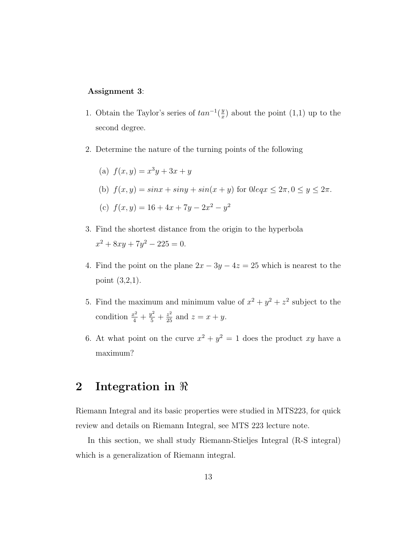### Assignment 3:

- 1. Obtain the Taylor's series of  $tan^{-1}(\frac{y}{x})$  $\frac{y}{x}$ ) about the point (1,1) up to the second degree.
- 2. Determine the nature of the turning points of the following

(a) 
$$
f(x, y) = x^3y + 3x + y
$$

(b)  $f(x, y) = \sin x + \sin y + \sin(x + y)$  for  $0 \le x \le 2\pi$ ,  $0 \le y \le 2\pi$ .

(c) 
$$
f(x, y) = 16 + 4x + 7y - 2x^2 - y^2
$$

- 3. Find the shortest distance from the origin to the hyperbola  $x^2 + 8xy + 7y^2 - 225 = 0.$
- 4. Find the point on the plane  $2x 3y 4z = 25$  which is nearest to the point (3,2,1).
- 5. Find the maximum and minimum value of  $x^2 + y^2 + z^2$  subject to the condition  $\frac{x^2}{4} + \frac{y^2}{5} + \frac{z^2}{25}$  and  $z = x + y$ .
- 6. At what point on the curve  $x^2 + y^2 = 1$  does the product xy have a maximum?

### 2 Integration in  $\Re$

Riemann Integral and its basic properties were studied in MTS223, for quick review and details on Riemann Integral, see MTS 223 lecture note.

In this section, we shall study Riemann-Stieljes Integral (R-S integral) which is a generalization of Riemann integral.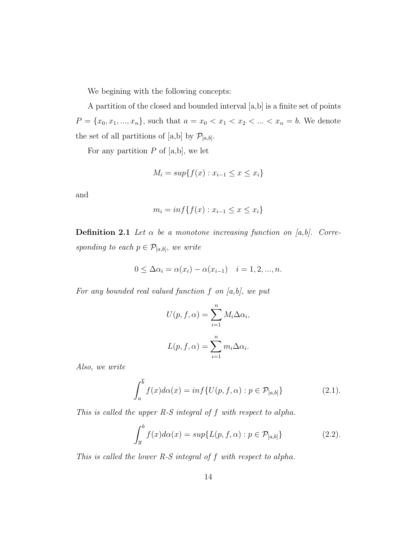We begining with the following concepts:

A partition of the closed and bounded interval [a,b] is a finite set of points  $P = \{x_0, x_1, ..., x_n\}$ , such that  $a = x_0 < x_1 < x_2 < ... < x_n = b$ . We denote the set of all partitions of [a,b] by  $\mathcal{P}_{[a,b]}$ .

For any partition  $P$  of [a,b], we let

$$
M_i = \sup\{f(x) : x_{i-1} \le x \le x_i\}
$$

and

$$
m_i = \inf\{f(x) : x_{i-1} \le x \le x_i\}
$$

**Definition 2.1** Let  $\alpha$  be a monotone increasing function on [a,b]. Corresponding to each  $p \in \mathcal{P}_{[a,b]}$ , we write

$$
0 \leq \Delta \alpha_i = \alpha(x_i) - \alpha(x_{i-1}) \quad i = 1, 2, ..., n.
$$

For any bounded real valued function  $f$  on  $[a,b]$ , we put

$$
U(p, f, \alpha) = \sum_{i=1}^{n} M_i \Delta \alpha_i,
$$
  

$$
L(p, f, \alpha) = \sum_{i=1}^{n} m_i \Delta \alpha_i.
$$

Also, we write

$$
\int_{a}^{\overline{b}} f(x) d\alpha(x) = \inf \{ U(p, f, \alpha) : p \in \mathcal{P}_{[a,b]} \}
$$
\n(2.1).

This is called the upper  $R-S$  integral of  $f$  with respect to alpha.

$$
\int_{\overline{a}}^{b} f(x) d\alpha(x) = \sup \{ L(p, f, \alpha) : p \in \mathcal{P}_{[a,b]} \}
$$
 (2.2).

This is called the lower R-S integral of f with respect to alpha.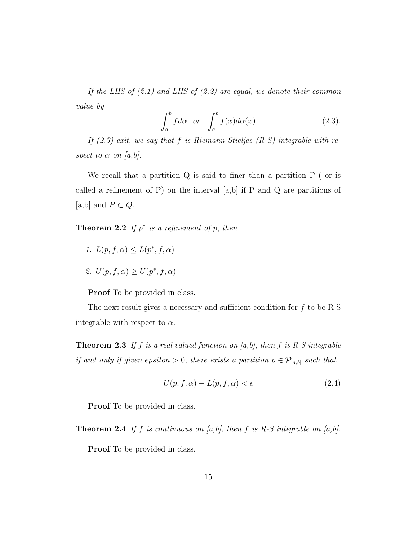If the LHS of  $(2.1)$  and LHS of  $(2.2)$  are equal, we denote their common value by

$$
\int_{a}^{b} f d\alpha \quad or \quad \int_{a}^{b} f(x) d\alpha(x) \tag{2.3}.
$$

If  $(2.3)$  exit, we say that f is Riemann-Stieljes  $(R-S)$  integrable with respect to  $\alpha$  on [a,b].

We recall that a partition Q is said to finer than a partition P ( or is called a refinement of P) on the interval  $[a,b]$  if P and Q are partitions of [a,b] and  $P \subset Q$ .

**Theorem 2.2** If  $p^*$  is a refinement of p, then

- 1.  $L(p, f, \alpha) \leq L(p^*, f, \alpha)$
- 2.  $U(p, f, \alpha) \geq U(p^*, f, \alpha)$

Proof To be provided in class.

The next result gives a necessary and sufficient condition for  $f$  to be R-S integrable with respect to  $\alpha$ .

**Theorem 2.3** If f is a real valued function on [a,b], then f is R-S integrable if and only if given epsilon > 0, there exists a partition  $p \in \mathcal{P}_{[a,b]}$  such that

$$
U(p, f, \alpha) - L(p, f, \alpha) < \epsilon \tag{2.4}
$$

Proof To be provided in class.

**Theorem 2.4** If f is continuous on [a,b], then f is R-S integrable on [a,b].

**Proof** To be provided in class.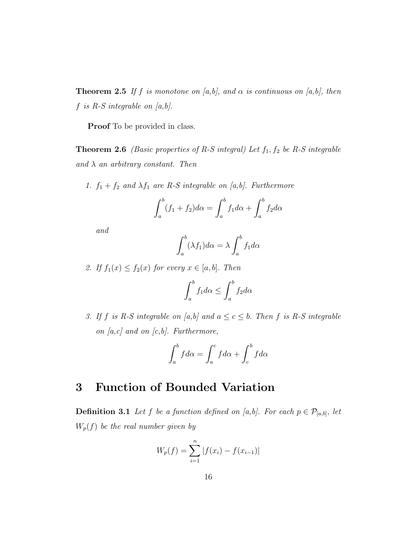**Theorem 2.5** If f is monotone on [a,b], and  $\alpha$  is continuous on [a,b], then  $f$  is  $R-S$  integrable on  $[a,b].$ 

Proof To be provided in class.

**Theorem 2.6** (Basic properties of R-S integral) Let  $f_1, f_2$  be R-S integrable and  $\lambda$  an arbitrary constant. Then

1.  $f_1 + f_2$  and  $\lambda f_1$  are R-S integrable on [a,b]. Furthermore

$$
\int_a^b (f_1 + f_2)d\alpha = \int_a^b f_1d\alpha + \int_a^b f_2d\alpha
$$

and

$$
\int_{a}^{b} (\lambda f_1) d\alpha = \lambda \int_{a}^{b} f_1 d\alpha
$$

2. If  $f_1(x) \le f_2(x)$  for every  $x \in [a, b]$ . Then

$$
\int_{a}^{b} f_1 d\alpha \le \int_{a}^{b} f_2 d\alpha
$$

3. If f is R-S integrable on [a,b] and  $a \leq c \leq b$ . Then f is R-S integrable on  $[a, c]$  and on  $[c, b]$ . Furthermore,

$$
\int_{a}^{b} f d\alpha = \int_{a}^{c} f d\alpha + \int_{c}^{b} f d\alpha
$$

### 3 Function of Bounded Variation

**Definition 3.1** Let f be a function defined on [a,b]. For each  $p \in \mathcal{P}_{[a,b]}$ , let  $W_p(f)$  be the real number given by

$$
W_p(f) = \sum_{i=1}^{n} |f(x_i) - f(x_{i-1})|
$$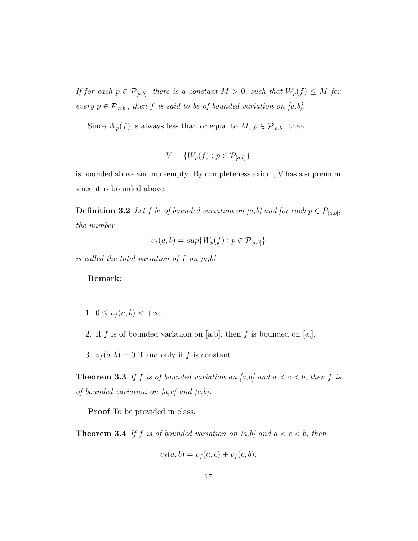If for each  $p \in \mathcal{P}_{[a,b]}$ , there is a constant  $M > 0$ , such that  $W_p(f) \leq M$  for every  $p \in \mathcal{P}_{[a,b]}$ , then f is said to be of bounded variation on [a,b].

Since  $W_p(f)$  is always less than or equal to  $M, p \in \mathcal{P}_{[a,b]}$ , then

$$
V = \{W_p(f) : p \in \mathcal{P}_{[a,b]}\}
$$

is bounded above and non-empty. By completeness axiom, V has a supremum since it is bounded above.

**Definition 3.2** Let f be of bounded variation on [a,b] and for each  $p \in \mathcal{P}_{[a,b]}$ , the number

$$
v_f(a,b) = \sup \{ W_p(f) : p \in \mathcal{P}_{[a,b]} \}
$$

is called the total variation of  $f$  on  $[a,b]$ .

### Remark:

- 1.  $0 \le v_f(a, b) < +\infty$ .
- 2. If f is of bounded variation on [a,b], then f is bounded on [a,].
- 3.  $v_f(a, b) = 0$  if and only if f is constant.

**Theorem 3.3** If f is of bounded variation on [a,b] and  $a < c < b$ , then f is of bounded variation on  $[a, c]$  and  $[c, b]$ .

Proof To be provided in class.

**Theorem 3.4** If f is of bounded variation on [a,b] and  $a < c < b$ , then

$$
v_f(a,b) = v_f(a,c) + v_f(c,b).
$$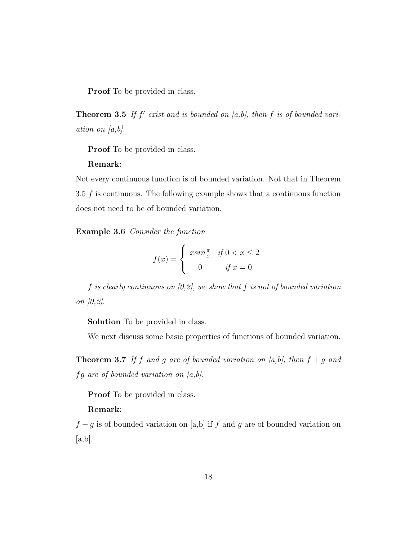Proof To be provided in class.

**Theorem 3.5** If  $f'$  exist and is bounded on [a,b], then f is of bounded variation on  $[a,b]$ .

**Proof** To be provided in class.

### Remark:

Not every continuous function is of bounded variation. Not that in Theorem 3.5  $f$  is continuous. The following example shows that a continuous function does not need to be of bounded variation.

Example 3.6 Consider the function

$$
f(x) = \begin{cases} x\sin\frac{\pi}{x} & \text{if } 0 < x \le 2\\ 0 & \text{if } x = 0 \end{cases}
$$

f is clearly continuous on  $[0,2]$ , we show that f is not of bounded variation on [0,2].

Solution To be provided in class.

We next discuss some basic properties of functions of bounded variation.

**Theorem 3.7** If f and g are of bounded variation on [a,b], then  $f + g$  and  $fg$  are of bounded variation on  $[a,b].$ 

Proof To be provided in class.

### Remark:

 $f - g$  is of bounded variation on [a,b] if f and g are of bounded variation on  $[a,b].$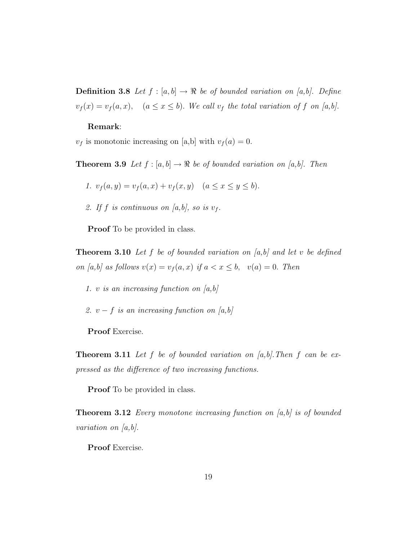**Definition 3.8** Let  $f : [a, b] \rightarrow \Re$  be of bounded variation on [a,b]. Define  $v_f(x) = v_f(a, x)$ ,  $(a \le x \le b)$ . We call  $v_f$  the total variation of f on [a,b].

#### Remark:

 $v_f$  is monotonic increasing on [a,b] with  $v_f(a) = 0$ .

**Theorem 3.9** Let  $f : [a, b] \to \Re$  be of bounded variation on [a,b]. Then

1. 
$$
v_f(a, y) = v_f(a, x) + v_f(x, y)
$$
  $(a \le x \le y \le b).$ 

2. If f is continuous on [a,b], so is  $v_f$ .

Proof To be provided in class.

**Theorem 3.10** Let f be of bounded variation on [a,b] and let v be defined on [a,b] as follows  $v(x) = v_f(a, x)$  if  $a < x \leq b$ ,  $v(a) = 0$ . Then

- 1. v is an increasing function on  $[a,b]$
- 2.  $v f$  is an increasing function on [a,b]

Proof Exercise.

**Theorem 3.11** Let f be of bounded variation on  $[a,b]$ . Then f can be expressed as the difference of two increasing functions.

Proof To be provided in class.

**Theorem 3.12** Every monotone increasing function on  $[a,b]$  is of bounded variation on  $[a,b]$ .

Proof Exercise.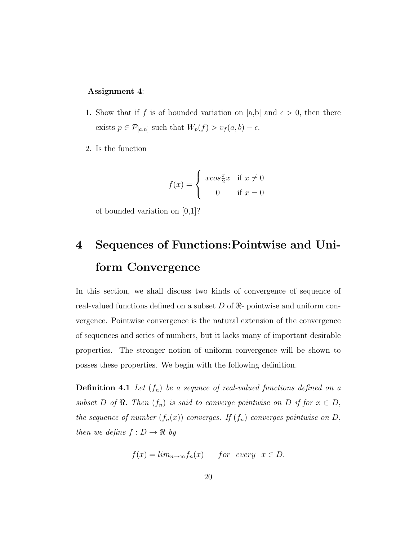### Assignment 4:

- 1. Show that if f is of bounded variation on [a,b] and  $\epsilon > 0$ , then there exists  $p \in \mathcal{P}_{[a,n]}$  such that  $W_p(f) > v_f(a,b) - \epsilon$ .
- 2. Is the function

$$
f(x) = \begin{cases} x\cos\frac{\pi}{2}x & \text{if } x \neq 0\\ 0 & \text{if } x = 0 \end{cases}
$$

of bounded variation on [0,1]?

# 4 Sequences of Functions:Pointwise and Uniform Convergence

In this section, we shall discuss two kinds of convergence of sequence of real-valued functions defined on a subset D of  $\Re$ - pointwise and uniform convergence. Pointwise convergence is the natural extension of the convergence of sequences and series of numbers, but it lacks many of important desirable properties. The stronger notion of uniform convergence will be shown to posses these properties. We begin with the following definition.

**Definition 4.1** Let  $(f_n)$  be a sequnce of real-valued functions defined on a subset D of  $\Re$ . Then  $(f_n)$  is said to converge pointwise on D if for  $x \in D$ , the sequence of number  $(f_n(x))$  converges. If  $(f_n)$  converges pointwise on D, then we define  $f: D \to \Re$  by

$$
f(x) = \lim_{n \to \infty} f_n(x) \quad for \ every \ x \in D.
$$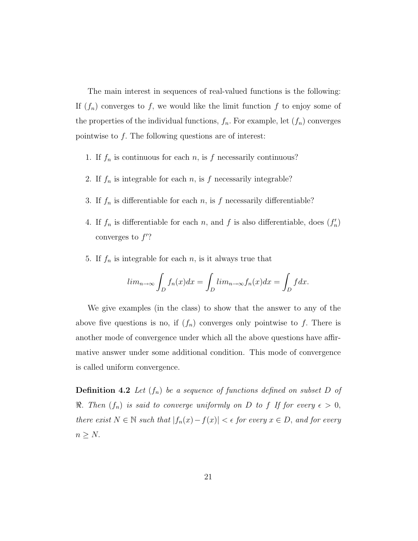The main interest in sequences of real-valued functions is the following: If  $(f_n)$  converges to f, we would like the limit function f to enjoy some of the properties of the individual functions,  $f_n$ . For example, let  $(f_n)$  converges pointwise to f. The following questions are of interest:

- 1. If  $f_n$  is continuous for each n, is f necessarily continuous?
- 2. If  $f_n$  is integrable for each  $n$ , is  $f$  necessarily integrable?
- 3. If  $f_n$  is differentiable for each n, is f necessarily differentiable?
- 4. If  $f_n$  is differentiable for each n, and f is also differentiable, does  $(f'_n)$ converges to  $f$ ?
- 5. If  $f_n$  is integrable for each n, is it always true that

$$
lim_{n \to \infty} \int_{D} f_n(x) dx = \int_{D} lim_{n \to \infty} f_n(x) dx = \int_{D} f dx.
$$

We give examples (in the class) to show that the answer to any of the above five questions is no, if  $(f_n)$  converges only pointwise to f. There is another mode of convergence under which all the above questions have affirmative answer under some additional condition. This mode of convergence is called uniform convergence.

**Definition 4.2** Let  $(f_n)$  be a sequence of functions defined on subset D of  $\Re$ . Then  $(f_n)$  is said to converge uniformly on D to f If for every  $\epsilon > 0$ , there exist  $N \in \mathbb{N}$  such that  $|f_n(x) - f(x)| < \epsilon$  for every  $x \in D$ , and for every  $n \geq N$ .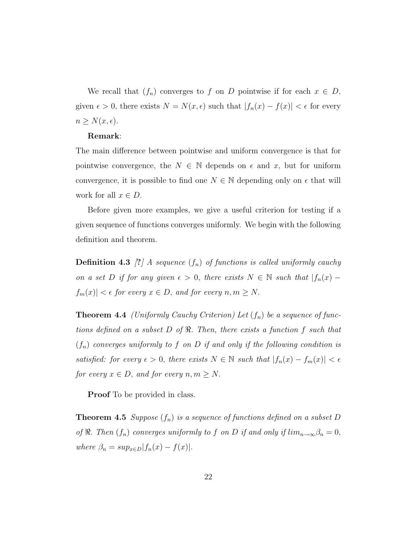We recall that  $(f_n)$  converges to f on D pointwise if for each  $x \in D$ , given  $\epsilon > 0$ , there exists  $N = N(x, \epsilon)$  such that  $|f_n(x) - f(x)| < \epsilon$  for every  $n \geq N(x, \epsilon).$ 

### Remark:

The main difference between pointwise and uniform convergence is that for pointwise convergence, the  $N \in \mathbb{N}$  depends on  $\epsilon$  and x, but for uniform convergence, it is possible to find one  $N \in \mathbb{N}$  depending only on  $\epsilon$  that will work for all  $x \in D$ .

Before given more examples, we give a useful criterion for testing if a given sequence of functions converges uniformly. We begin with the following definition and theorem.

**Definition 4.3** [?] A sequence  $(f_n)$  of functions is called uniformly cauchy on a set D if for any given  $\epsilon > 0$ , there exists  $N \in \mathbb{N}$  such that  $|f_n(x) |f_m(x)| < \epsilon$  for every  $x \in D$ , and for every  $n, m \ge N$ .

**Theorem 4.4** (Uniformly Cauchy Criterion) Let  $(f_n)$  be a sequence of functions defined on a subset  $D$  of  $\Re$ . Then, there exists a function f such that  $(f_n)$  converges uniformly to f on D if and only if the following condition is satisfied: for every  $\epsilon > 0$ , there exists  $N \in \mathbb{N}$  such that  $|f_n(x) - f_m(x)| < \epsilon$ for every  $x \in D$ , and for every  $n, m \ge N$ .

**Proof** To be provided in class.

**Theorem 4.5** Suppose  $(f_n)$  is a sequence of functions defined on a subset D of  $\Re$ . Then  $(f_n)$  converges uniformly to f on D if and only if  $\lim_{n\to\infty}\beta_n=0$ , where  $\beta_n = \sup_{x \in D} |f_n(x) - f(x)|$ .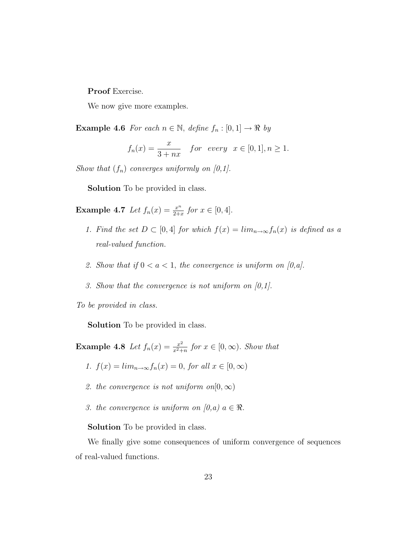Proof Exercise.

We now give more examples.

**Example 4.6** For each  $n \in \mathbb{N}$ , define  $f_n : [0, 1] \rightarrow \Re$  by

$$
f_n(x) = \frac{x}{3+nx} \quad for \ every \ x \in [0,1], n \ge 1.
$$

Show that  $(f_n)$  converges uniformly on  $[0,1]$ .

Solution To be provided in class.

**Example 4.7** Let  $f_n(x) = \frac{x^n}{2+x}$  $\frac{x^n}{2+x}$  for  $x \in [0, 4]$ .

- 1. Find the set  $D \subset [0,4]$  for which  $f(x) = \lim_{n \to \infty} f_n(x)$  is defined as a real-valued function.
- 2. Show that if  $0 < a < 1$ , the convergence is uniform on [0,a].
- 3. Show that the convergence is not uniform on  $[0,1]$ .

To be provided in class.

Solution To be provided in class.

**Example 4.8** Let  $f_n(x) = \frac{x^2}{x^2 + 1}$  $\frac{x^2}{x^2+n}$  for  $x \in [0,\infty)$ . Show that

- 1.  $f(x) = \lim_{n \to \infty} f_n(x) = 0$ , for all  $x \in [0, \infty)$
- 2. the convergence is not uniform on  $[0, \infty)$
- 3. the convergence is uniform on  $(0,a)$   $a \in \Re$ .

Solution To be provided in class.

We finally give some consequences of uniform convergence of sequences of real-valued functions.